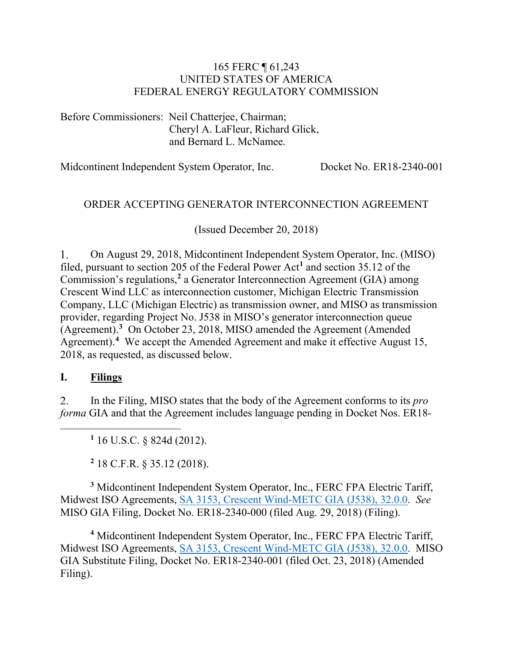#### 165 FERC ¶ 61,243 UNITED STATES OF AMERICA FEDERAL ENERGY REGULATORY COMMISSION

Before Commissioners: Neil Chatterjee, Chairman; Cheryl A. LaFleur, Richard Glick, and Bernard L. McNamee.

Midcontinent Independent System Operator, Inc. Docket No. ER18-2340-001

## ORDER ACCEPTING GENERATOR INTERCONNECTION AGREEMENT

(Issued December 20, 2018)

 $1.$ On August 29, 2018, Midcontinent Independent System Operator, Inc. (MISO) filed, pursuant to section 205 of the Federal Power Act**[1](#page-0-0)** and section 35.12 of the Commission's regulations,**[2](#page-0-1)** a Generator Interconnection Agreement (GIA) among Crescent Wind LLC as interconnection customer, Michigan Electric Transmission Company, LLC (Michigan Electric) as transmission owner, and MISO as transmission provider, regarding Project No. J538 in MISO's generator interconnection queue (Agreement). **[3](#page-0-2)** On October 23, 2018, MISO amended the Agreement (Amended Agreement).**[4](#page-0-3)** We accept the Amended Agreement and make it effective August 15, 2018, as requested, as discussed below.

### **I. Filings**

<span id="page-0-0"></span> $\overline{a}$ 

2. In the Filing, MISO states that the body of the Agreement conforms to its *pro forma* GIA and that the Agreement includes language pending in Docket Nos. ER18-

**<sup>1</sup>** 16 U.S.C. § 824d (2012).

**<sup>2</sup>** 18 C.F.R. § 35.12 (2018).

<span id="page-0-2"></span><span id="page-0-1"></span>**<sup>3</sup>** Midcontinent Independent System Operator, Inc., FERC FPA Electric Tariff, Midwest ISO Agreements, SA 3153, Crescent [Wind-METC GIA \(J538\), 32.0.0.](http://etariff.ferc.gov/TariffSectionDetails.aspx?tid=1446&sid=244037) *See* MISO GIA Filing, Docket No. ER18-2340-000 (filed Aug. 29, 2018) (Filing).

<span id="page-0-3"></span>**<sup>4</sup>** Midcontinent Independent System Operator, Inc., FERC FPA Electric Tariff, Midwest ISO Agreements, [SA 3153, Crescent Wind-METC GIA \(J538\), 32.0.0.](http://etariff.ferc.gov/TariffSectionDetails.aspx?tid=1446&sid=244037) MISO GIA Substitute Filing, Docket No. ER18-2340-001 (filed Oct. 23, 2018) (Amended Filing).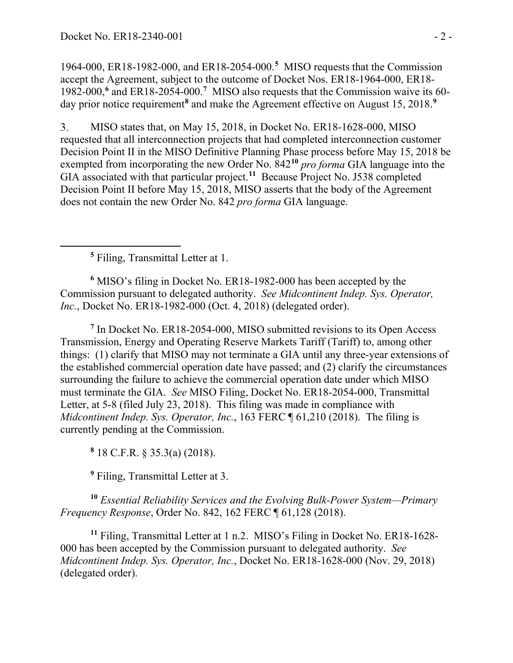1964-000, ER18-1982-000, and ER18-2054-000.**[5](#page-1-0)** MISO requests that the Commission accept the Agreement, subject to the outcome of Docket Nos. ER18-1964-000, ER18- 1982-000,**[6](#page-1-1)** and ER18-2054-000.**[7](#page-1-2)** MISO also requests that the Commission waive its 60- day prior notice requirement<sup>[8](#page-1-3)</sup> and make the Agreement effective on August 15, 2018.<sup>[9](#page-1-4)</sup>

3. MISO states that, on May 15, 2018, in Docket No. ER18-1628-000, MISO requested that all interconnection projects that had completed interconnection customer Decision Point II in the MISO Definitive Planning Phase process before May 15, 2018 be exempted from incorporating the new Order No. 842**[10](#page-1-5)** *pro forma* GIA language into the GIA associated with that particular project.**[11](#page-1-6)** Because Project No. J538 completed Decision Point II before May 15, 2018, MISO asserts that the body of the Agreement does not contain the new Order No. 842 *pro forma* GIA language.

**<sup>5</sup>** Filing, Transmittal Letter at 1.

<span id="page-1-0"></span> $\overline{a}$ 

<span id="page-1-1"></span>**<sup>6</sup>** MISO's filing in Docket No. ER18-1982-000 has been accepted by the Commission pursuant to delegated authority. *See Midcontinent Indep. Sys. Operator, Inc.*, Docket No. ER18-1982-000 (Oct. 4, 2018) (delegated order).

<span id="page-1-2"></span>**<sup>7</sup>** In Docket No. ER18-2054-000, MISO submitted revisions to its Open Access Transmission, Energy and Operating Reserve Markets Tariff (Tariff) to, among other things: (1) clarify that MISO may not terminate a GIA until any three-year extensions of the established commercial operation date have passed; and (2) clarify the circumstances surrounding the failure to achieve the commercial operation date under which MISO must terminate the GIA. *See* MISO Filing, Docket No. ER18-2054-000, Transmittal Letter, at 5-8 (filed July 23, 2018). This filing was made in compliance with *Midcontinent Indep. Sys. Operator, Inc.*, 163 FERC ¶ 61,210 (2018). The filing is currently pending at the Commission.

**<sup>8</sup>** 18 C.F.R. § 35.3(a) (2018).

**<sup>9</sup>** Filing, Transmittal Letter at 3.

<span id="page-1-5"></span><span id="page-1-4"></span><span id="page-1-3"></span>**<sup>10</sup>** *Essential Reliability Services and the Evolving Bulk-Power System—Primary Frequency Response*, Order No. 842, 162 FERC ¶ 61,128 (2018).

<span id="page-1-6"></span>**<sup>11</sup>** Filing, Transmittal Letter at 1 n.2. MISO's Filing in Docket No. ER18-1628- 000 has been accepted by the Commission pursuant to delegated authority. *See Midcontinent Indep. Sys. Operator, Inc.*, Docket No. ER18-1628-000 (Nov. 29, 2018) (delegated order).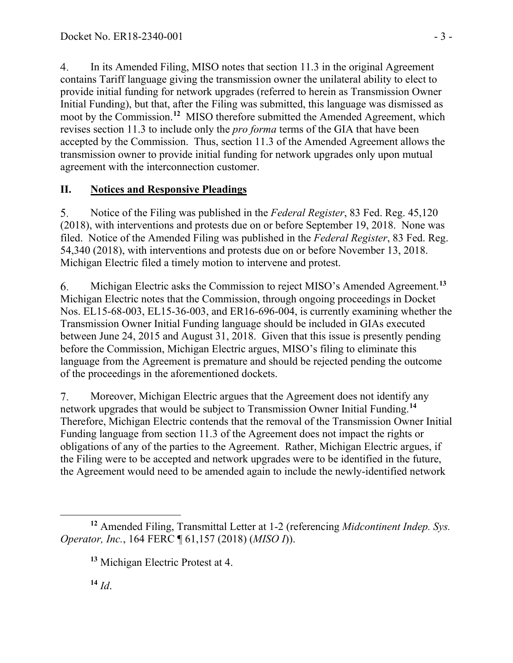$4.$ In its Amended Filing, MISO notes that section 11.3 in the original Agreement contains Tariff language giving the transmission owner the unilateral ability to elect to provide initial funding for network upgrades (referred to herein as Transmission Owner Initial Funding), but that, after the Filing was submitted, this language was dismissed as moot by the Commission. **[12](#page-2-0)** MISO therefore submitted the Amended Agreement, which revises section 11.3 to include only the *pro forma* terms of the GIA that have been accepted by the Commission. Thus, section 11.3 of the Amended Agreement allows the transmission owner to provide initial funding for network upgrades only upon mutual agreement with the interconnection customer.

# **II. Notices and Responsive Pleadings**

5. Notice of the Filing was published in the *Federal Register*, 83 Fed. Reg. 45,120 (2018), with interventions and protests due on or before September 19, 2018. None was filed. Notice of the Amended Filing was published in the *Federal Register*, 83 Fed. Reg. 54,340 (2018), with interventions and protests due on or before November 13, 2018. Michigan Electric filed a timely motion to intervene and protest.

Michigan Electric asks the Commission to reject MISO's Amended Agreement. **[13](#page-2-1)** 6. Michigan Electric notes that the Commission, through ongoing proceedings in Docket Nos. EL15-68-003, EL15-36-003, and ER16-696-004, is currently examining whether the Transmission Owner Initial Funding language should be included in GIAs executed between June 24, 2015 and August 31, 2018. Given that this issue is presently pending before the Commission, Michigan Electric argues, MISO's filing to eliminate this language from the Agreement is premature and should be rejected pending the outcome of the proceedings in the aforementioned dockets.

7. Moreover, Michigan Electric argues that the Agreement does not identify any network upgrades that would be subject to Transmission Owner Initial Funding.**[14](#page-2-2)** Therefore, Michigan Electric contends that the removal of the Transmission Owner Initial Funding language from section 11.3 of the Agreement does not impact the rights or obligations of any of the parties to the Agreement. Rather, Michigan Electric argues, if the Filing were to be accepted and network upgrades were to be identified in the future, the Agreement would need to be amended again to include the newly-identified network

<span id="page-2-2"></span> $14$  *Id.* 

<span id="page-2-1"></span><span id="page-2-0"></span> $\overline{a}$ **<sup>12</sup>** Amended Filing, Transmittal Letter at 1-2 (referencing *Midcontinent Indep. Sys. Operator, Inc.*, 164 FERC ¶ 61,157 (2018) (*MISO I*)).

**<sup>13</sup>** Michigan Electric Protest at 4.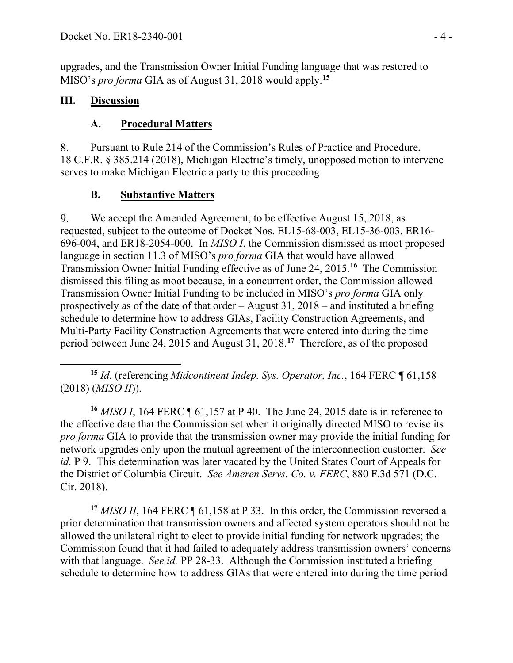upgrades, and the Transmission Owner Initial Funding language that was restored to MISO's *pro forma* GIA as of August 31, 2018 would apply. **[15](#page-3-0)**

## **III. Discussion**

## **A. Procedural Matters**

8. Pursuant to Rule 214 of the Commission's Rules of Practice and Procedure, 18 C.F.R. § 385.214 (2018), Michigan Electric's timely, unopposed motion to intervene serves to make Michigan Electric a party to this proceeding.

## **B. Substantive Matters**

9. We accept the Amended Agreement, to be effective August 15, 2018, as requested, subject to the outcome of Docket Nos. EL15-68-003, EL15-36-003, ER16- 696-004, and ER18-2054-000. In *MISO I*, the Commission dismissed as moot proposed language in section 11.3 of MISO's *pro forma* GIA that would have allowed Transmission Owner Initial Funding effective as of June 24, 2015.**[16](#page-3-1)** The Commission dismissed this filing as moot because, in a concurrent order, the Commission allowed Transmission Owner Initial Funding to be included in MISO's *pro forma* GIA only prospectively as of the date of that order – August 31, 2018 – and instituted a briefing schedule to determine how to address GIAs, Facility Construction Agreements, and Multi-Party Facility Construction Agreements that were entered into during the time period between June 24, 2015 and August 31, 2018.**[17](#page-3-2)** Therefore, as of the proposed

<span id="page-3-0"></span> $\overline{a}$ **<sup>15</sup>** *Id.* (referencing *Midcontinent Indep. Sys. Operator, Inc.*, 164 FERC ¶ 61,158 (2018) (*MISO II*)).

<span id="page-3-1"></span>**<sup>16</sup>** *MISO I*, 164 FERC ¶ 61,157 at P 40. The June 24, 2015 date is in reference to the effective date that the Commission set when it originally directed MISO to revise its *pro forma* GIA to provide that the transmission owner may provide the initial funding for network upgrades only upon the mutual agreement of the interconnection customer. *See id.* P 9. This determination was later vacated by the United States Court of Appeals for the District of Columbia Circuit. *See Ameren Servs. Co. v. FERC*, 880 F.3d 571 (D.C. Cir. 2018).

<span id="page-3-2"></span>**<sup>17</sup>** *MISO II*, 164 FERC ¶ 61,158 at P 33. In this order, the Commission reversed a prior determination that transmission owners and affected system operators should not be allowed the unilateral right to elect to provide initial funding for network upgrades; the Commission found that it had failed to adequately address transmission owners' concerns with that language. *See id.* PP 28-33. Although the Commission instituted a briefing schedule to determine how to address GIAs that were entered into during the time period